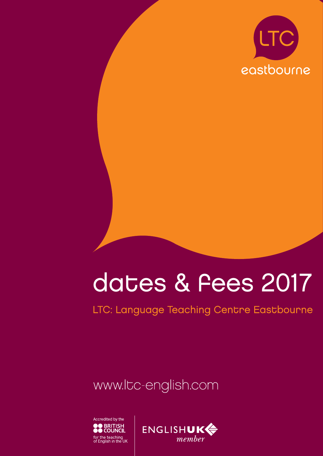

# dates & Fees 2017

LTC: Language Teaching Centre Eastbourne

www.ltc-english.com



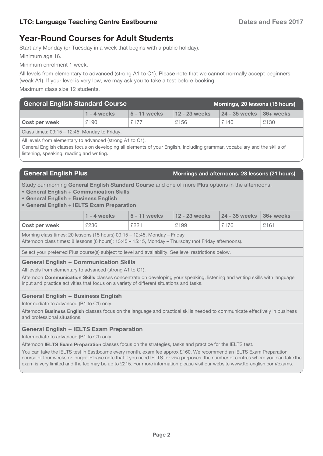# **Year-Round Courses for Adult Students**

Start any Monday (or Tuesday in a week that begins with a public holiday).

Minimum age 16.

Minimum enrolment 1 week.

All levels from elementary to advanced (strong A1 to C1). Please note that we cannot normally accept beginners (weak A1). If your level is very low, we may ask you to take a test before booking.

Maximum class size 12 students.

| <b>General English Standard Course</b>                                                                                                                                                                                                                                                                                                                                            | Mornings, 20 lessons (15 hours) |              |               |               |              |  |
|-----------------------------------------------------------------------------------------------------------------------------------------------------------------------------------------------------------------------------------------------------------------------------------------------------------------------------------------------------------------------------------|---------------------------------|--------------|---------------|---------------|--------------|--|
|                                                                                                                                                                                                                                                                                                                                                                                   | $1 - 4$ weeks                   | 5 - 11 weeks | 12 - 23 weeks | 24 - 35 weeks | $ 36+$ weeks |  |
| <b>Cost per week</b>                                                                                                                                                                                                                                                                                                                                                              | £190                            | £177         | £156          | £140          | £130         |  |
| $\bigcap$ $\bigcup$ $\bigcap$ $\bigcap$ $\bigcap$ $\bigcap$ $\bigcap$ $\bigcap$ $\bigcap$ $\bigcap$ $\bigcap$ $\bigcap$ $\bigcap$ $\bigcap$ $\bigcap$ $\bigcap$ $\bigcap$ $\bigcap$ $\bigcap$ $\bigcap$ $\bigcap$ $\bigcap$ $\bigcap$ $\bigcap$ $\bigcap$ $\bigcap$ $\bigcap$ $\bigcap$ $\bigcap$ $\bigcap$ $\bigcap$ $\bigcap$ $\bigcap$ $\bigcap$ $\bigcap$ $\bigcap$ $\bigcap$ |                                 |              |               |               |              |  |

Class times: 09:15 – 12:45, Monday to Friday.

All levels from elementary to advanced (strong A1 to C1).

General English classes focus on developing all elements of your English, including grammar, vocabulary and the skills of listening, speaking, reading and writing.

#### **General English Plus Community Community Community Community Community Community Community Community Community**

Study our morning **General English Standard Course** and one of more **Plus** options in the afternoons.

- General English + Communication Skills
- General English + Business English
- General English + IELTS Exam Preparation

|               | $1 - 4$ weeks | $\sqrt{5}$ - 11 weeks | $12 - 23$ weeks | $\vert$ 24 - 35 weeks $\vert$ 36+ weeks |      |
|---------------|---------------|-----------------------|-----------------|-----------------------------------------|------|
| Cost per week | £236          | £221                  | £199            | £176                                    | £161 |

Morning class times: 20 lessons (15 hours) 09:15 – 12:45, Monday – Friday

Afternoon class times: 8 lessons (6 hours): 13:45 – 15:15, Monday – Thursday (not Friday afternoons).

Select your preferred Plus course(s) subject to level and availability. See level restrictions below.

#### **General English + Communication Skills**

All levels from elementary to advanced (strong A1 to C1).

Afternoon Communication Skills classes concentrate on developing your speaking, listening and writing skills with language input and practice activities that focus on a variety of different situations and tasks.

#### **General English + Business English**

Intermediate to advanced (B1 to C1) only.

Afternoon Business English classes focus on the language and practical skills needed to communicate effectively in business and professional situations.

# **General English + IELTS Exam Preparation**

Intermediate to advanced (B1 to C1) only.

Afternoon **IELTS Exam Preparation** classes focus on the strategies, tasks and practice for the IELTS test.

You can take the IELTS test in Eastbourne every month, exam fee approx £160. We recommend an IELTS Exam Preparation course of four weeks or longer. Please note that if you need IELTS for visa purposes, the number of centres where you can take the exam is very limited and the fee may be up to £215. For more information please visit our website www.ltc-english.com/exams.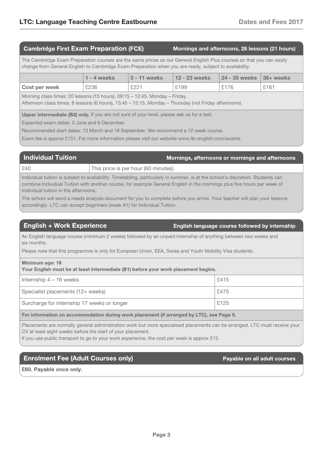# **Cambridge First Exam Preparation (FCE)**

#### **Mornings and afternoons, 28 lessons (21 hours)**

The Cambridge Exam Preparation courses are the same prices as our General English Plus courses so that you can easily change from General English to Cambridge Exam Preparation when you are ready, subject to availability.

|                      | $1 - 4$ weeks | $15 - 11$ weeks | 12 - 23 weeks | $\vert$ 24 - 35 weeks $\vert$ 36+ weeks |      |
|----------------------|---------------|-----------------|---------------|-----------------------------------------|------|
| <b>Cost per week</b> | £236          | £221            | £199          | £176                                    | £161 |

Morning class times: 20 lessons (15 hours), 09:15 – 12:45, Monday – Friday.

Afternoon class times: 8 lessons (6 hours), 13:45 – 15:15, Monday – Thursday (not Friday afternoons).

Upper intermediate (B2) only. If you are not sure of your level, please ask us for a test.

Expected exam dates: 3 June and 9 December.

Recommended start dates: 13 March and 18 September. We recommend a 12 week course.

Exam fee is approx £151. For more information please visit our website www.ltc-english.com/exams.

| <b>Individual Tuition</b> | Mornings, afternoons or mornings and afternoons                                                                                                                                                                                                                                                                                                                                                                                                                    |
|---------------------------|--------------------------------------------------------------------------------------------------------------------------------------------------------------------------------------------------------------------------------------------------------------------------------------------------------------------------------------------------------------------------------------------------------------------------------------------------------------------|
| £40                       | This price is per hour (60 minutes).                                                                                                                                                                                                                                                                                                                                                                                                                               |
|                           | $\mathbf{r}$ , and a set of the set of the set of the set of the set of the set of the set of the set of the set of the set of the set of the set of the set of the set of the set of the set of the set of the set of the set of<br>. The contract of the contract of the contract of the contract of the contract of the contract of the contract of the contract of the contract of the contract of the contract of the contract of the contract of the contrac |

Individual tuition is subject to availability. Timetabling, particularly in summer, is at the school's discretion. Students can combine Individual Tuition with another course, for example General English in the mornings plus five hours per week of individual tuition in the afternoons.

The school will send a needs analysis document for you to complete before you arrive. Your teacher will plan your lessons accordingly. LTC can accept beginners (weak A1) for Individual Tuition.

# **English + Work Experience**

English language course followed by internship

An English language course (minimum 2 weeks) followed by an unpaid internship of anything between two weeks and six months.

Please note that this programme is only for European Union, EEA, Swiss and Youth Mobility Visa students.

| Minimum age: 18 |  |
|-----------------|--|
|                 |  |

Your English must be at least intermediate (B1) before your work placement begins.

| Internship 4 – 16 weeks                                                                 | £415 |  |  |  |  |
|-----------------------------------------------------------------------------------------|------|--|--|--|--|
| Specialist placements (12+ weeks)                                                       | £475 |  |  |  |  |
| Surcharge for internship 17 weeks or longer                                             | £125 |  |  |  |  |
| For information on accommodation during work placement (if arranged by LTC), see Page 5 |      |  |  |  |  |

ommodation during work placement (if arranged by LTC), see Page

Placements are normally general administration work but more specialised placements can be arranged. LTC must receive your CV at least eight weeks before the start of your placement.

If you use public transport to go to your work experience, the cost per week is approx £15.

# **Enrolment Fee (Adult Courses only)**

Payable on all adult courses

£60. Pavable once only.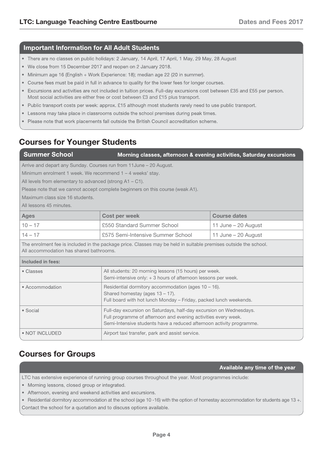# **Important Information for All Adult Students**

- There are no classes on public holidays: 2 January, 14 April, 17 April, 1 May, 29 May, 28 August
- We close from 15 December 2017 and reopen on 2 January 2018.
- Minimum age 16 (English + Work Experience: 18); median age 22 (20 in summer).
- Course fees must be paid in full in advance to quality for the lower fees for longer courses.
- Excursions and activities are not included in tuition prices. Full-day excursions cost between £35 and £55 per person. Most social activities are either free or cost between £3 and £15 plus transport.
- Public transport costs per week: approx. £15 although most students rarely need to use public transport.
- Lessons may take place in classrooms outside the school premises during peak times.  $\bullet$
- Please note that work placements fall outside the British Council accreditation scheme.

# **Courses for Younger Students**

**Summer School** Morning classes, afternoon & evening activities, Saturday excursions

Arrive and depart any Sunday. Courses run from 11June – 20 August.

Minimum enrolment 1 week. We recommend 1 – 4 weeks' stay.

All levels from elementary to advanced (strong A1 – C1).

Please note that we cannot accept complete beginners on this course (weak A1).

Maximum class size 16 students.

All lessons 45 minutes.

| <b>Ages</b> | <b>Cost per week</b>                     | Course dates        |
|-------------|------------------------------------------|---------------------|
| $10 - 17$   | £550 Standard Summer School              | 11 June - 20 August |
| $14 - 17$   | <b>£575 Semi-Intensive Summer School</b> | 11 June – 20 August |

The enrolment fee is included in the package price. Classes may be held in suitable premises outside the school. All accommodation has shared bathrooms.

#### Included in fees:

| • Classes       | All students: 20 morning lessons (15 hours) per week.<br>Semi-intensive only: + 3 hours of afternoon lessons per week.                                                                                       |
|-----------------|--------------------------------------------------------------------------------------------------------------------------------------------------------------------------------------------------------------|
| • Accommodation | Residential dormitory accommodation (ages $10 - 16$ ).<br>Shared homestay (ages $13 - 17$ ).<br>Full board with hot lunch Monday - Friday, packed lunch weekends.                                            |
| • Social        | Full-day excursion on Saturdays, half-day excursion on Wednesdays.<br>Full programme of afternoon and evening activities every week.<br>Semi-Intensive students have a reduced afternoon activity programme. |
| • NOT INCLUDED  | Airport taxi transfer, park and assist service.                                                                                                                                                              |

# **Courses for Groups**

#### Available any time of the year

LTC has extensive experience of running group courses throughout the year. Most programmes include:

- Morning lessons, closed group or integrated.
- Afternoon, evening and weekend activities and excursions.
- Residential dormitory accommodation at the school (age 10 -16) with the option of homestay accommodation for students age 13 +.Contact the school for a quotation and to discuss options available.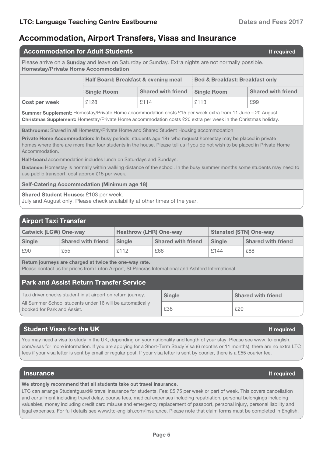# **Accommodation, Airport Transfers, Visas and Insurance**

|                                                                                                                                                                                                                                                                                                                                                                                                                                                                                                                         | <b>Accommodation for Adult Students</b><br>If required                                         |                           |                                                 |      |                           |      |                                                 |                           |
|-------------------------------------------------------------------------------------------------------------------------------------------------------------------------------------------------------------------------------------------------------------------------------------------------------------------------------------------------------------------------------------------------------------------------------------------------------------------------------------------------------------------------|------------------------------------------------------------------------------------------------|---------------------------|-------------------------------------------------|------|---------------------------|------|-------------------------------------------------|---------------------------|
| Please arrive on a <b>Sunday</b> and leave on Saturday or Sunday. Extra nights are not normally possible.<br><b>Homestay/Private Home Accommodation</b>                                                                                                                                                                                                                                                                                                                                                                 |                                                                                                |                           |                                                 |      |                           |      |                                                 |                           |
|                                                                                                                                                                                                                                                                                                                                                                                                                                                                                                                         | Half Board: Breakfast & evening meal<br><b>Bed &amp; Breakfast: Breakfast only</b>             |                           |                                                 |      |                           |      |                                                 |                           |
|                                                                                                                                                                                                                                                                                                                                                                                                                                                                                                                         |                                                                                                |                           | <b>Shared with friend</b><br><b>Single Room</b> |      |                           |      | <b>Shared with friend</b><br><b>Single Room</b> |                           |
| <b>Cost per week</b>                                                                                                                                                                                                                                                                                                                                                                                                                                                                                                    |                                                                                                | £128                      |                                                 | £114 |                           | £113 |                                                 | £99                       |
| Summer Supplement: Homestay/Private Home accommodation costs £15 per week extra from 11 June - 20 August.<br>Christmas Supplement: Homestay/Private Home accommodation costs £20 extra per week in the Christmas holiday.                                                                                                                                                                                                                                                                                               |                                                                                                |                           |                                                 |      |                           |      |                                                 |                           |
| Private Home Accommodation: In busy periods, students age 18+ who request homestay may be placed in private<br>homes where there are more than four students in the house. Please tell us if you do not wish to be placed in Private Home<br>Accommodation.<br>Half-board accommodation includes lunch on Saturdays and Sundays.<br><b>Distance:</b> Homestay is normally within walking distance of the school. In the busy summer months some students may need to<br>use public transport, cost approx £15 per week. |                                                                                                |                           |                                                 |      |                           |      |                                                 |                           |
| <b>Self-Catering Accommodation (Minimum age 18)</b>                                                                                                                                                                                                                                                                                                                                                                                                                                                                     |                                                                                                |                           |                                                 |      |                           |      |                                                 |                           |
| Shared Student Houses: £103 per week.<br>July and August only. Please check availability at other times of the year.                                                                                                                                                                                                                                                                                                                                                                                                    |                                                                                                |                           |                                                 |      |                           |      |                                                 |                           |
| <b>Airport Taxi Transfer</b>                                                                                                                                                                                                                                                                                                                                                                                                                                                                                            |                                                                                                |                           |                                                 |      |                           |      |                                                 |                           |
|                                                                                                                                                                                                                                                                                                                                                                                                                                                                                                                         | <b>Gatwick (LGW) One-way</b><br><b>Heathrow (LHR) One-way</b><br><b>Stansted (STN) One-way</b> |                           |                                                 |      |                           |      |                                                 |                           |
| <b>Single</b>                                                                                                                                                                                                                                                                                                                                                                                                                                                                                                           |                                                                                                | <b>Shared with friend</b> | <b>Single</b>                                   |      | <b>Shared with friend</b> |      | <b>Single</b>                                   | <b>Shared with friend</b> |
| £90                                                                                                                                                                                                                                                                                                                                                                                                                                                                                                                     | £55                                                                                            |                           | £112                                            |      | £68                       |      | £144                                            | £88                       |

Return journeys are charged at twice the one-way rate.

Please contact us for prices from Luton Airport, St Pancras International and Ashford International.

# **Park and Assist Return Transfer Service**

| Taxi driver checks student in at airport on return journey.                              | <b>Single</b> | <b>Shared with friend</b> |
|------------------------------------------------------------------------------------------|---------------|---------------------------|
| All Summer School students under 16 will be automatically<br>booked for Park and Assist. | £38           | £20                       |

# **Student Visas for the UK**

You may need a visa to study in the UK, depending on your nationality and length of your stay. Please see www.ltc-english. com/visas for more information. If you are applying for a Short-Term Study Visa (6 months or 11 months), there are no extra LTC fees if your visa letter is sent by email or regular post. If your visa letter is sent by courier, there is a £55 courier fee.

# **Insurance**

..

We strongly recommend that all students take out travel insurance.

LTC can arrange Studentguard® travel insurance for students. Fee: £5.75 per week or part of week. This covers cancellation and curtailment including travel delay, course fees, medical expenses including repatriation, personal belongings including valuables, money including credit card misuse and emergency replacement of passport, personal injury, personal liability and legal expenses. For full details see www.ltc-english.com/insurance. Please note that claim forms must be completed in English.

# If required

If required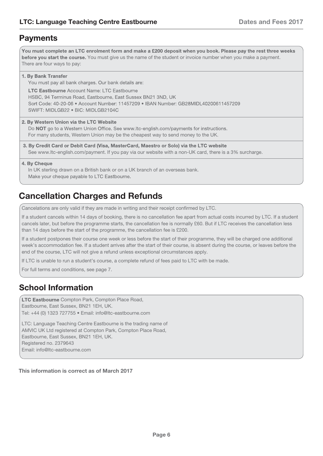# **Payments**

You must complete an LTC enrolment form and make a £200 deposit when you book. Please pay the rest three weeks before you start the course. You must give us the name of the student or invoice number when you make a payment. There are four ways to pay:

1. By Bank Transfer

You must pay all bank charges. Our bank details are:

LTC Eastbourne Account Name: LTC Eastbourne HSBC, 94 Terminus Road, Eastbourne, East Sussex BN21 3ND, UK Sort Code: 40-20-06 · Account Number: 11457209 · IBAN Number: GB28MIDL40200611457209 SWIFT: MIDLGB22 · BIC: MIDLGB2104C

#### 2. By Western Union via the LTC Website

Do NOT go to a Western Union Office. See www.ltc-english.com/payments for instructions. For many students, Western Union may be the cheapest way to send money to the UK.

3. By Credit Card or Debit Card (Visa, MasterCard, Maestro or Solo) via the LTC website See www.ltc-english.com/payment. If you pay via our website with a non-UK card, there is a 3% surcharge.

4. By Cheque

In UK sterling drawn on a British bank or on a UK branch of an overseas bank. Make your cheque payable to LTC Eastbourne.

# **Cancellation Charges and Refunds**

Cancelations are only valid if they are made in writing and their receipt confirmed by LTC.

If a student cancels within 14 days of booking, there is no cancellation fee apart from actual costs incurred by LTC. If a student cancels later, but before the programme starts, the cancellation fee is normally £60. But if LTC receives the cancellation less than 14 days before the start of the programme, the cancellation fee is £200.

If a student postpones their course one week or less before the start of their programme, they will be charged one additional week's accommodation fee. If a student arrives after the start of their course, is absent during the course, or leaves before the end of the course, LTC will not give a refund unless exceptional circumstances apply.

If LTC is unable to run a student's course, a complete refund of fees paid to LTC with be made.

For full terms and conditions, see page 7.

# **School Information**

LTC Eastbourne Compton Park, Compton Place Road, Tel: +44 (0) 1323 727755 • Email: info@ltc-eastbourne.com Eastbourne, East Sussex, BN21 1EH, UK.

LTC: Language Teaching Centre Eastbourne is the trading name of AMVIC UK Ltd registered at Compton Park, Compton Place Road, Registered no. 2379643 Email: info@ltc-eastbourne.com Eastbourne, East Sussex, BN21 1EH, UK.

**This information is correct as of March 2017**